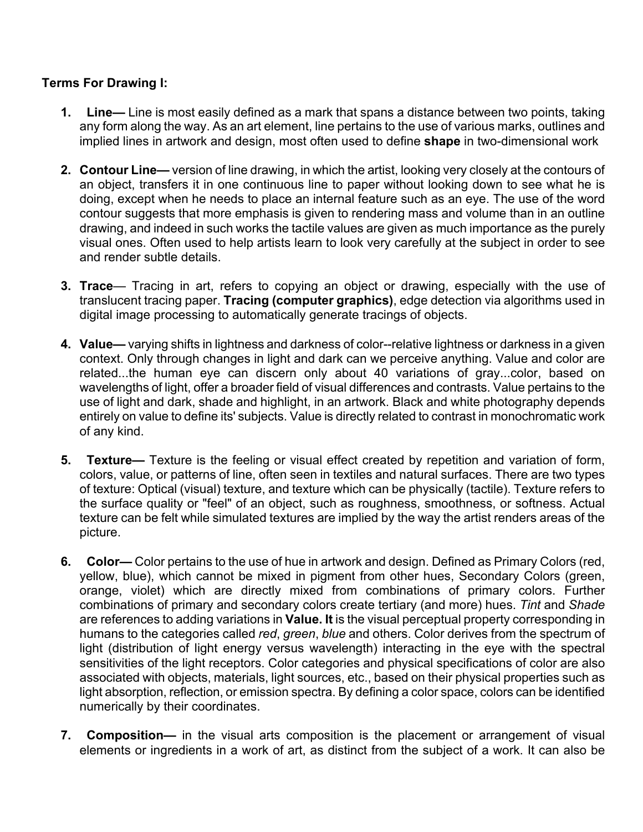## **Terms For Drawing I:**

- **1. Line—** Line is most easily defined as a mark that spans a distance between two points, taking any form along the way. As an art element, line pertains to the use of various marks, outlines and implied lines in artwork and design, most often used to define **shape** in two-dimensional work
- **2. Contour Line—** version of line drawing, in which the artist, looking very closely at the contours of an object, transfers it in one continuous line to paper without looking down to see what he is doing, except when he needs to place an internal feature such as an eye. The use of the word contour suggests that more emphasis is given to rendering mass and volume than in an outline drawing, and indeed in such works the tactile values are given as much importance as the purely visual ones. Often used to help artists learn to look very carefully at the subject in order to see and render subtle details.
- **3. Trace** Tracing in art, refers to copying an object or drawing, especially with the use of translucent tracing paper. **Tracing (computer graphics)**, edge detection via algorithms used in digital image processing to automatically generate tracings of objects.
- **4. Value—** varying shifts in lightness and darkness of color--relative lightness or darkness in a given context. Only through changes in light and dark can we perceive anything. Value and color are related...the human eye can discern only about 40 variations of gray...color, based on wavelengths of light, offer a broader field of visual differences and contrasts. Value pertains to the use of light and dark, shade and highlight, in an artwork. Black and white photography depends entirely on value to define its' subjects. Value is directly related to contrast in monochromatic work of any kind.
- **5. Texture—** Texture is the feeling or visual effect created by repetition and variation of form, colors, value, or patterns of line, often seen in textiles and natural surfaces. There are two types of texture: Optical (visual) texture, and texture which can be physically (tactile). Texture refers to the surface quality or "feel" of an object, such as roughness, smoothness, or softness. Actual texture can be felt while simulated textures are implied by the way the artist renders areas of the picture.
- **6. Color—** Color pertains to the use of hue in artwork and design. Defined as Primary Colors (red, yellow, blue), which cannot be mixed in pigment from other hues, Secondary Colors (green, orange, violet) which are directly mixed from combinations of primary colors. Further combinations of primary and secondary colors create tertiary (and more) hues. *Tint* and *Shade* are references to adding variations in **Value. It** is the visual perceptual property corresponding in humans to the categories called *red*, *green*, *blue* and others. Color derives from the spectrum of light (distribution of light energy versus wavelength) interacting in the eye with the spectral sensitivities of the light receptors. Color categories and physical specifications of color are also associated with objects, materials, light sources, etc., based on their physical properties such as light absorption, reflection, or emission spectra. By defining a color space, colors can be identified numerically by their coordinates.
- **7. Composition—** in the visual arts composition is the placement or arrangement of visual elements or ingredients in a work of art, as distinct from the subject of a work. It can also be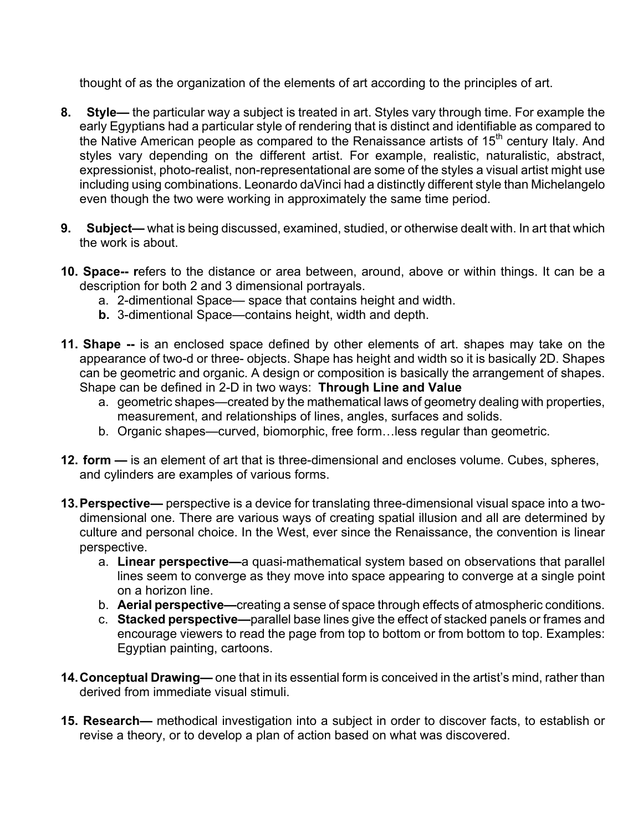thought of as the organization of the elements of art according to the principles of art.

- **8. Style—** the particular way a subject is treated in art. Styles vary through time. For example the early Egyptians had a particular style of rendering that is distinct and identifiable as compared to the Native American people as compared to the Renaissance artists of 15<sup>th</sup> century Italy. And styles vary depending on the different artist. For example, realistic, naturalistic, abstract, expressionist, photo-realist, non-representational are some of the styles a visual artist might use including using combinations. Leonardo daVinci had a distinctly different style than Michelangelo even though the two were working in approximately the same time period.
- **9. Subject—** what is being discussed, examined, studied, or otherwise dealt with. In art that which the work is about.
- **10. Space-- r**efers to the distance or area between, around, above or within things. It can be a description for both 2 and 3 dimensional portrayals.
	- a. 2-dimentional Space— space that contains height and width.
	- **b.** 3-dimentional Space—contains height, width and depth.
- **11. Shape --** is an enclosed space defined by other elements of art. shapes may take on the appearance of two-d or three- objects. Shape has height and width so it is basically 2D. Shapes can be geometric and organic. A design or composition is basically the arrangement of shapes. Shape can be defined in 2-D in two ways: **Through Line and Value**
	- a. geometric shapes—created by the mathematical laws of geometry dealing with properties, measurement, and relationships of lines, angles, surfaces and solids.
	- b. Organic shapes—curved, biomorphic, free form…less regular than geometric.
- **12. form —** is an element of art that is three-dimensional and encloses volume. Cubes, spheres, and cylinders are examples of various forms.
- **13.Perspective—** perspective is a device for translating three-dimensional visual space into a twodimensional one. There are various ways of creating spatial illusion and all are determined by culture and personal choice. In the West, ever since the Renaissance, the convention is linear perspective.
	- a. **Linear perspective—**a quasi-mathematical system based on observations that parallel lines seem to converge as they move into space appearing to converge at a single point on a horizon line.
	- b. **Aerial perspective—**creating a sense of space through effects of atmospheric conditions.
	- c. **Stacked perspective—**parallel base lines give the effect of stacked panels or frames and encourage viewers to read the page from top to bottom or from bottom to top. Examples: Egyptian painting, cartoons.
- **14.Conceptual Drawing—** one that in its essential form is conceived in the artist's mind, rather than derived from immediate visual stimuli.
- **15. Research—** methodical investigation into a subject in order to discover facts, to establish or revise a theory, or to develop a plan of action based on what was discovered.